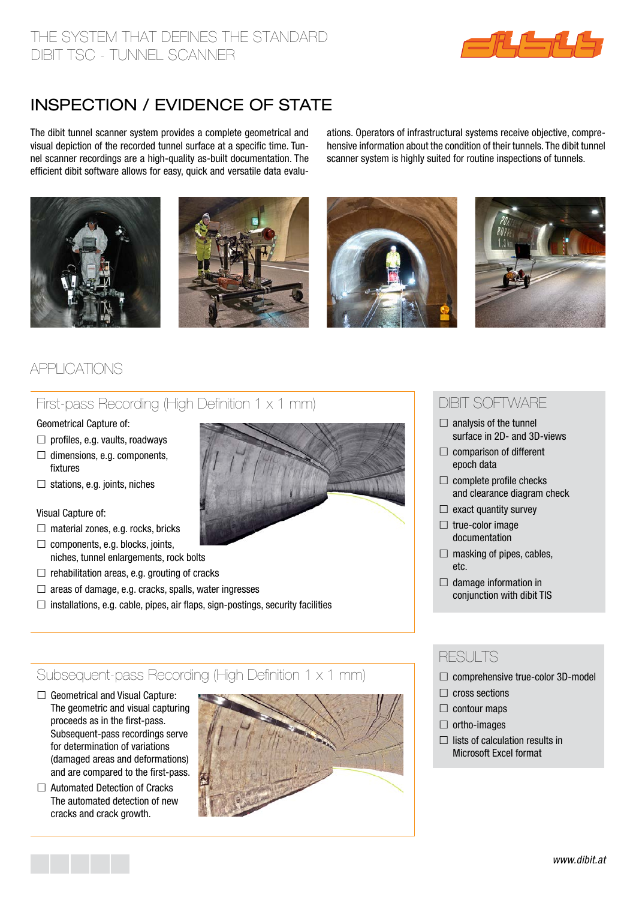

# inspection / evidence of state

The dibit tunnel scanner system provides a complete geometrical and visual depiction of the recorded tunnel surface at a specific time. Tunnel scanner recordings are a high-quality as-built documentation. The efficient dibit software allows for easy, quick and versatile data evaluations. Operators of infrastructural systems receive objective, comprehensive information about the condition of their tunnels. The dibit tunnel scanner system is highly suited for routine inspections of tunnels.









## Applications

### First-pass Recording (High Definition 1 x 1 mm)

#### Geometrical Capture of:

- $\Box$  profiles, e.g. vaults, roadways
- $\Box$  dimensions, e.g. components, fixtures
- $\Box$  stations, e.g. joints, niches

#### Visual Capture of:

- $\Box$  material zones, e.g. rocks, bricks
- $\Box$  components, e.g. blocks, joints, niches, tunnel enlargements, rock bolts
- $\Box$  rehabilitation areas, e.g. grouting of cracks
- $\Box$  areas of damage, e.g. cracks, spalls, water ingresses
- $\Box$  installations, e.g. cable, pipes, air flaps, sign-postings, security facilities

### Subsequent-pass Recording (High Definition 1 x 1 mm)

- $\Box$  Geometrical and Visual Capture: The geometric and visual capturing proceeds as in the first-pass. Subsequent-pass recordings serve for determination of variations (damaged areas and deformations) and are compared to the first-pass.
- □ Automated Detection of Cracks The automated detection of new cracks and crack growth.



### Dibit Software

- $\Box$  analysis of the tunnel surface in 2D- and 3D-views
- $\Box$  comparison of different epoch data
- $\Box$  complete profile checks and clearance diagram check
- $\Box$  exact quantity survey
- $\Box$  true-color image documentation
- $\Box$  masking of pipes, cables, etc.
- $\Box$  damage information in conjunction with dibit TIS

### **RESULTS**

- $\Box$  comprehensive true-color 3D-model
- $\Box$  cross sections
- $\Box$  contour maps
- $\Box$  ortho-images
- $\Box$  lists of calculation results in Microsoft Excel format